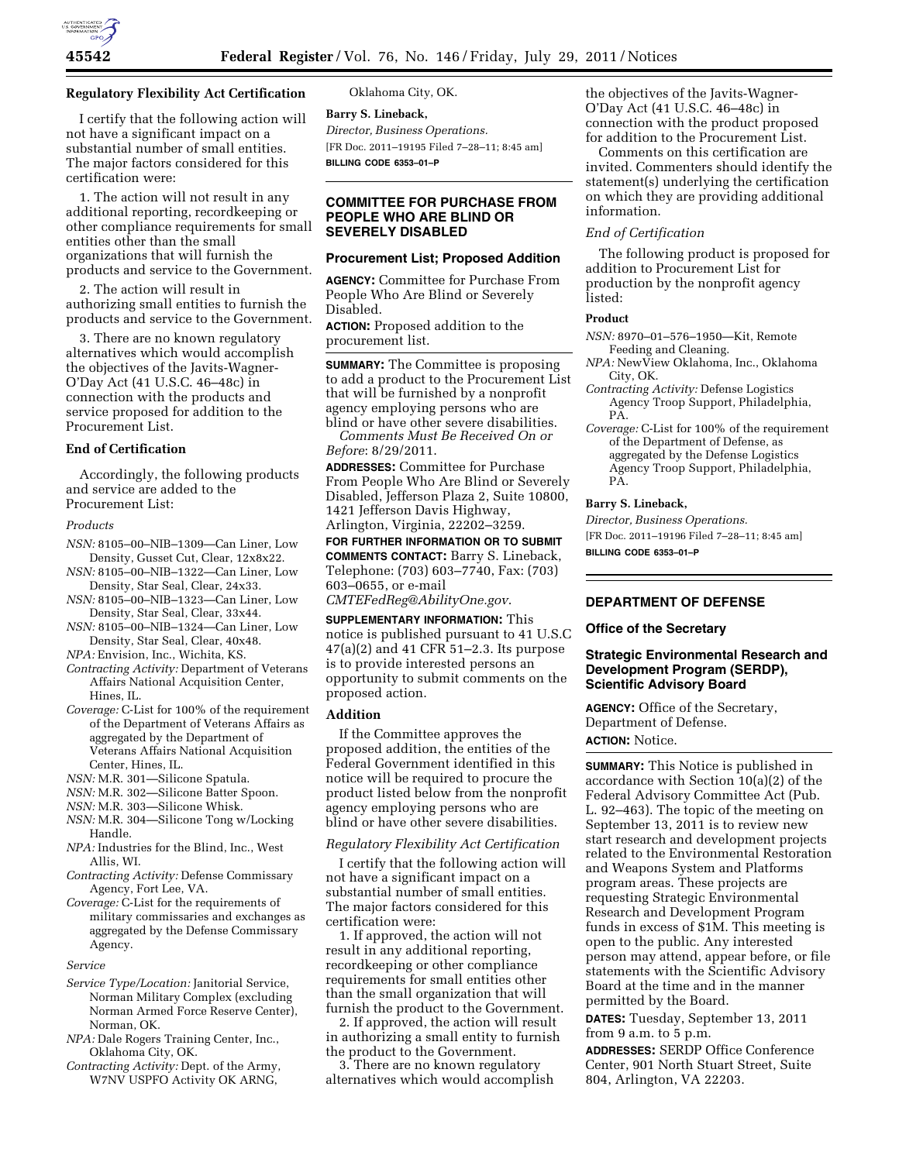

#### **Regulatory Flexibility Act Certification**

I certify that the following action will not have a significant impact on a substantial number of small entities. The major factors considered for this certification were:

1. The action will not result in any additional reporting, recordkeeping or other compliance requirements for small entities other than the small organizations that will furnish the products and service to the Government.

2. The action will result in authorizing small entities to furnish the products and service to the Government.

3. There are no known regulatory alternatives which would accomplish the objectives of the Javits-Wagner-O'Day Act (41 U.S.C. 46–48c) in connection with the products and service proposed for addition to the Procurement List.

## **End of Certification**

Accordingly, the following products and service are added to the Procurement List:

#### *Products*

- *NSN:* 8105–00–NIB–1309—Can Liner, Low Density, Gusset Cut, Clear, 12x8x22.
- *NSN:* 8105–00–NIB–1322—Can Liner, Low Density, Star Seal, Clear, 24x33.
- *NSN:* 8105–00–NIB–1323—Can Liner, Low Density, Star Seal, Clear, 33x44.
- *NSN:* 8105–00–NIB–1324—Can Liner, Low Density, Star Seal, Clear, 40x48.

*NPA:* Envision, Inc., Wichita, KS.

- *Contracting Activity:* Department of Veterans Affairs National Acquisition Center, Hines, IL.
- *Coverage:* C-List for 100% of the requirement of the Department of Veterans Affairs as aggregated by the Department of Veterans Affairs National Acquisition Center, Hines, IL.
- *NSN:* M.R. 301—Silicone Spatula.
- *NSN:* M.R. 302—Silicone Batter Spoon.
- *NSN:* M.R. 303—Silicone Whisk.
- *NSN:* M.R. 304—Silicone Tong w/Locking Handle.
- *NPA:* Industries for the Blind, Inc., West Allis, WI.
- *Contracting Activity:* Defense Commissary Agency, Fort Lee, VA.
- *Coverage:* C-List for the requirements of military commissaries and exchanges as aggregated by the Defense Commissary Agency.

#### *Service*

- *Service Type/Location:* Janitorial Service, Norman Military Complex (excluding Norman Armed Force Reserve Center), Norman, OK.
- *NPA:* Dale Rogers Training Center, Inc., Oklahoma City, OK.
- *Contracting Activity:* Dept. of the Army, W7NV USPFO Activity OK ARNG,

Oklahoma City, OK.

**Barry S. Lineback,**  *Director, Business Operations.*  [FR Doc. 2011–19195 Filed 7–28–11; 8:45 am] **BILLING CODE 6353–01–P** 

# **COMMITTEE FOR PURCHASE FROM PEOPLE WHO ARE BLIND OR SEVERELY DISABLED**

## **Procurement List; Proposed Addition**

**AGENCY:** Committee for Purchase From People Who Are Blind or Severely Disabled.

**ACTION:** Proposed addition to the procurement list.

**SUMMARY:** The Committee is proposing to add a product to the Procurement List that will be furnished by a nonprofit agency employing persons who are blind or have other severe disabilities.

*Comments Must Be Received On or Before*: 8/29/2011.

**ADDRESSES:** Committee for Purchase From People Who Are Blind or Severely Disabled, Jefferson Plaza 2, Suite 10800, 1421 Jefferson Davis Highway, Arlington, Virginia, 22202–3259.

# **FOR FURTHER INFORMATION OR TO SUBMIT COMMENTS CONTACT:** Barry S. Lineback, Telephone: (703) 603–7740, Fax: (703) 603–0655, or e-mail

*[CMTEFedReg@AbilityOne.gov](mailto:CMTEFedReg@AbilityOne.gov)*.

# **SUPPLEMENTARY INFORMATION:** This notice is published pursuant to 41 U.S.C 47(a)(2) and 41 CFR 51–2.3. Its purpose is to provide interested persons an opportunity to submit comments on the proposed action.

#### **Addition**

If the Committee approves the proposed addition, the entities of the Federal Government identified in this notice will be required to procure the product listed below from the nonprofit agency employing persons who are blind or have other severe disabilities.

#### *Regulatory Flexibility Act Certification*

I certify that the following action will not have a significant impact on a substantial number of small entities. The major factors considered for this certification were:

1. If approved, the action will not result in any additional reporting, recordkeeping or other compliance requirements for small entities other than the small organization that will furnish the product to the Government.

2. If approved, the action will result in authorizing a small entity to furnish the product to the Government.

3. There are no known regulatory alternatives which would accomplish the objectives of the Javits-Wagner-O'Day Act (41 U.S.C. 46–48c) in connection with the product proposed for addition to the Procurement List.

Comments on this certification are invited. Commenters should identify the statement(s) underlying the certification on which they are providing additional information.

# *End of Certification*

The following product is proposed for addition to Procurement List for production by the nonprofit agency listed:

#### **Product**

- *NSN:* 8970–01–576–1950—Kit, Remote Feeding and Cleaning.
- *NPA:* NewView Oklahoma, Inc., Oklahoma City, OK.
- *Contracting Activity:* Defense Logistics Agency Troop Support, Philadelphia, PA.
- *Coverage:* C-List for 100% of the requirement of the Department of Defense, as aggregated by the Defense Logistics Agency Troop Support, Philadelphia, PA.

#### **Barry S. Lineback,**

*Director, Business Operations.* 

[FR Doc. 2011–19196 Filed 7–28–11; 8:45 am] **BILLING CODE 6353–01–P** 

# **DEPARTMENT OF DEFENSE**

## **Office of the Secretary**

## **Strategic Environmental Research and Development Program (SERDP), Scientific Advisory Board**

**AGENCY:** Office of the Secretary, Department of Defense. **ACTION:** Notice.

**SUMMARY:** This Notice is published in accordance with Section 10(a)(2) of the Federal Advisory Committee Act (Pub. L. 92–463). The topic of the meeting on September 13, 2011 is to review new start research and development projects related to the Environmental Restoration and Weapons System and Platforms program areas. These projects are requesting Strategic Environmental Research and Development Program funds in excess of \$1M. This meeting is open to the public. Any interested person may attend, appear before, or file statements with the Scientific Advisory Board at the time and in the manner permitted by the Board.

**DATES:** Tuesday, September 13, 2011 from 9 a.m. to 5 p.m.

**ADDRESSES:** SERDP Office Conference Center, 901 North Stuart Street, Suite 804, Arlington, VA 22203.